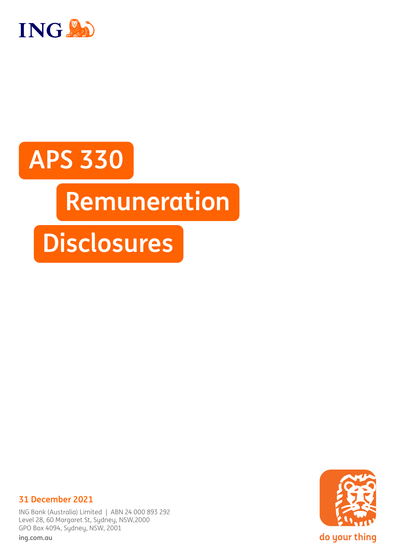

# **APS 330 Remuneration Disclosures**



# **31 December 2021**

ING Bank (Australia) Limited | ABN 24 000 893 292 Level 28, 60 Margaret St, Sydney, NSW,2000 GPO Box 4094, Sydney, NSW, 2001

**[ing.com.au](http://ing.com.au)**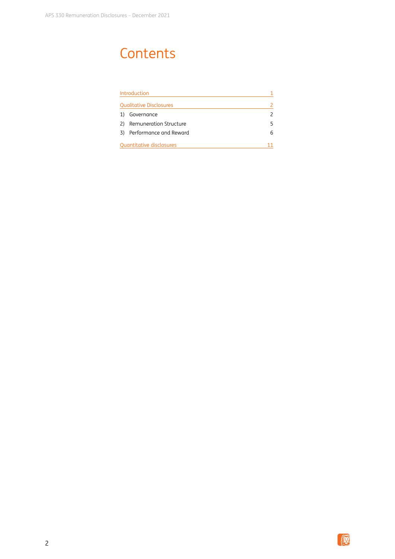# **Contents**

| Introduction |                                |   |
|--------------|--------------------------------|---|
|              | <b>Qualitative Disclosures</b> | 2 |
| 1)           | Governance                     | 2 |
| 2)           | Remuneration Structure         | 5 |
| 3)           | Performance and Reward         | 6 |
|              | Quantitative disclosures       |   |

演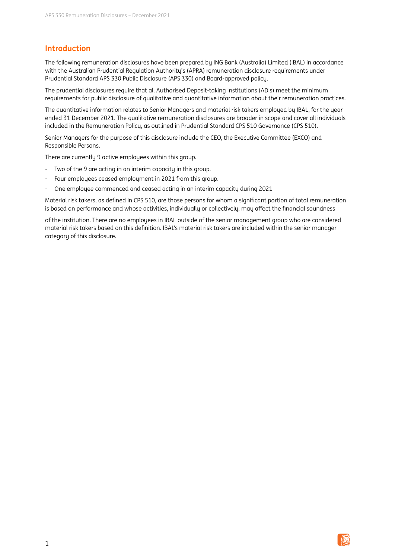# **Introduction**

The following remuneration disclosures have been prepared by ING Bank (Australia) Limited (IBAL) in accordance with the Australian Prudential Regulation Authority's (APRA) remuneration disclosure requirements under Prudential Standard APS 330 Public Disclosure (APS 330) and Board-approved policy.

The prudential disclosures require that all Authorised Deposit-taking Institutions (ADIs) meet the minimum requirements for public disclosure of qualitative and quantitative information about their remuneration practices.

The quantitative information relates to Senior Managers and material risk takers employed by IBAL, for the year ended 31 December 2021. The qualitative remuneration disclosures are broader in scope and cover all individuals included in the Remuneration Policy, as outlined in Prudential Standard CPS 510 Governance (CPS 510).

Senior Managers for the purpose of this disclosure include the CEO, the Executive Committee (EXCO) and Responsible Persons.

There are currentlu 9 active employees within this group.

- Two of the 9 are acting in an interim capacity in this group.
- Four employees ceased employment in 2021 from this group.
- One employee commenced and ceased acting in an interim capacity during 2021

Material risk takers, as defined in CPS 510, are those persons for whom a significant portion of total remuneration is based on performance and whose activities, individually or collectively, may affect the financial soundness

of the institution. There are no employees in IBAL outside of the senior management group who are considered material risk takers based on this definition. IBAL's material risk takers are included within the senior manager category of this disclosure.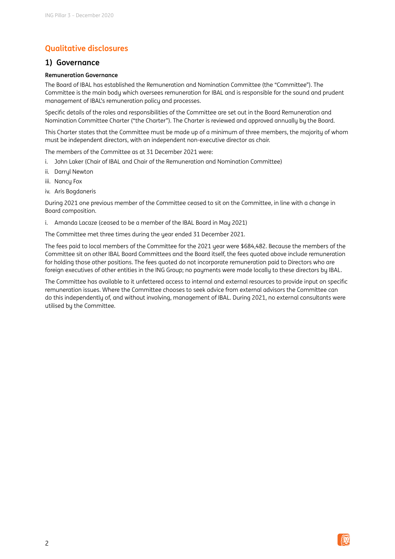# **Qualitative disclosures**

### **1) Governance**

#### **Remuneration Governance**

The Board of IBAL has established the Remuneration and Nomination Committee (the "Committee"). The Committee is the main body which oversees remuneration for IBAL and is responsible for the sound and prudent management of IBAL's remuneration policy and processes.

Specific details of the roles and responsibilities of the Committee are set out in the Board Remuneration and Nomination Committee Charter ("the Charter"). The Charter is reviewed and approved annually by the Board.

This Charter states that the Committee must be made up of a minimum of three members, the majority of whom must be independent directors, with an independent non-executive director as chair.

The members of the Committee as at 31 December 2021 were:

- i. John Laker (Chair of IBAL and Chair of the Remuneration and Nomination Committee)
- ii. Darryl Newton
- iii. Nancy Fox
- iv. Aris Bogdaneris

During 2021 one previous member of the Committee ceased to sit on the Committee, in line with a change in Board composition.

i. Amanda Lacaze (ceased to be a member of the IBAL Board in May 2021)

The Committee met three times during the year ended 31 December 2021.

The fees paid to local members of the Committee for the 2021 year were \$684,482. Because the members of the Committee sit on other IBAL Board Committees and the Board itself, the fees quoted above include remuneration for holding those other positions. The fees quoted do not incorporate remuneration paid to Directors who are foreign executives of other entities in the ING Group; no payments were made locally to these directors by IBAL.

The Committee has available to it unfettered access to internal and external resources to provide input on specific remuneration issues. Where the Committee chooses to seek advice from external advisors the Committee can do this independently of, and without involving, management of IBAL. During 2021, no external consultants were utilised by the Committee.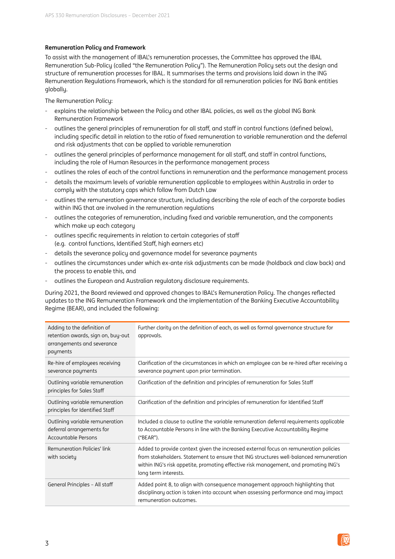#### **Remuneration Policy and Framework**

To assist with the management of IBAL's remuneration processes, the Committee has approved the IBAL Remuneration Sub-Policy (called "the Remuneration Policy"). The Remuneration Policy sets out the design and structure of remuneration processes for IBAL. It summarises the terms and provisions laid down in the ING Remuneration Regulations Framework, which is the standard for all remuneration policies for ING Bank entities globally.

The Remuneration Policy:

- explains the relationship between the Policy and other IBAL policies, as well as the global ING Bank Remuneration Framework
- outlines the general principles of remuneration for all staff, and staff in control functions (defined below), including specific detail in relation to the ratio of fixed remuneration to variable remuneration and the deferral and risk adjustments that can be applied to variable remuneration
- outlines the general principles of performance management for all staff, and staff in control functions, including the role of Human Resources in the performance management process
- outlines the roles of each of the control functions in remuneration and the performance management process
- details the maximum levels of variable remuneration applicable to employees within Australia in order to comply with the statutory caps which follow from Dutch Law
- outlines the remuneration governance structure, including describing the role of each of the corporate bodies within ING that are involved in the remuneration regulations
- outlines the categories of remuneration, including fixed and variable remuneration, and the components which make up each category
- outlines specific requirements in relation to certain categories of staff (e.g. control functions, Identified Staff, high earners etc)
- details the severance policy and governance model for severance payments
- outlines the circumstances under which ex-ante risk adjustments can be made (holdback and claw back) and the process to enable this, and
- outlines the European and Australian regulatory disclosure requirements.

During 2021, the Board reviewed and approved changes to IBAL's Remuneration Policy. The changes reflected updates to the ING Remuneration Framework and the implementation of the Banking Executive Accountability Regime (BEAR), and included the following:

| Adding to the definition of<br>retention awards, sign on, buy-out<br>arrangements and severance<br>payments | Further clarity on the definition of each, as well as formal governance structure for<br>approvals.                                                                                                                                                                                           |
|-------------------------------------------------------------------------------------------------------------|-----------------------------------------------------------------------------------------------------------------------------------------------------------------------------------------------------------------------------------------------------------------------------------------------|
| Re-hire of employees receiving<br>severance payments                                                        | Clarification of the circumstances in which an employee can be re-hired after receiving a<br>severance payment upon prior termination.                                                                                                                                                        |
| Outlining variable remuneration<br>principles for Sales Staff                                               | Clarification of the definition and principles of remuneration for Sales Staff                                                                                                                                                                                                                |
| Outlining variable remuneration<br>principles for Identified Staff                                          | Clarification of the definition and principles of remuneration for Identified Staff                                                                                                                                                                                                           |
| Outlining variable remuneration<br>deferral arrangements for<br><b>Accountable Persons</b>                  | Included a clause to outline the variable remuneration deferral requirements applicable<br>to Accountable Persons in line with the Banking Executive Accountability Regime<br>("BEAR").                                                                                                       |
| Remuneration Policies' link<br>with society                                                                 | Added to provide context given the increased external focus on remuneration policies<br>from stakeholders. Statement to ensure that ING structures well-balanced remuneration<br>within ING's risk appetite, promoting effective risk management, and promoting ING's<br>long term interests. |
| General Principles - All staff                                                                              | Added point 8, to align with consequence management approach highlighting that<br>disciplinary action is taken into account when assessing performance and may impact<br>remuneration outcomes.                                                                                               |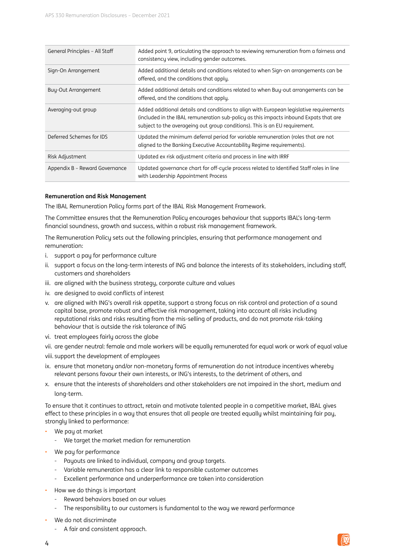| General Principles - All Staff | Added point 9, articulating the approach to reviewing remuneration from a fairness and<br>consistency view, including gender outcomes.                                                                                                                          |
|--------------------------------|-----------------------------------------------------------------------------------------------------------------------------------------------------------------------------------------------------------------------------------------------------------------|
| Sign-On Arrangement            | Added additional details and conditions related to when Sign-on arrangements can be<br>offered, and the conditions that apply.                                                                                                                                  |
| <b>Buy-Out Arrangement</b>     | Added additional details and conditions related to when Buy-out arrangements can be<br>offered, and the conditions that apply.                                                                                                                                  |
| Averaging-out group            | Added additional details and conditions to align with European legislative requirements<br>(included in the IBAL remuneration sub-policy as this impacts inbound Expats that are<br>subject to the averageing out group conditions). This is an EU requirement. |
| Deferred Schemes for IDS       | Updated the minimum deferral period for variable remuneration (roles that are not<br>aligned to the Banking Executive Accountability Regime requirements).                                                                                                      |
| Risk Adjustment                | Updated ex risk adjustment criteria and process in line with IRRF                                                                                                                                                                                               |
| Appendix B - Reward Governance | Updated governance chart for off-cycle process related to Identified Staff roles in line<br>with Leadership Appointment Process                                                                                                                                 |

#### **Remuneration and Risk Management**

The IBAL Remuneration Policy forms part of the IBAL Risk Management Framework.

The Committee ensures that the Remuneration Policy encourages behaviour that supports IBAL's long-term financial soundness, growth and success, within a robust risk management framework.

The Remuneration Policy sets out the following principles, ensuring that performance management and remuneration:

- i. support a pay for performance culture
- ii. support a focus on the long-term interests of ING and balance the interests of its stakeholders, including staff, customers and shareholders
- iii. are aligned with the business strategy, corporate culture and values
- iv. are designed to avoid conflicts of interest
- v. are aligned with ING's overall risk appetite, support a strong focus on risk control and protection of a sound capital base, promote robust and effective risk management, taking into account all risks including reputational risks and risks resulting from the mis-selling of products, and do not promote risk-taking behaviour that is outside the risk tolerance of ING
- vi. treat employees fairly across the globe
- vii. are gender neutral: female and male workers will be equally remunerated for equal work or work of equal value
- viii. support the development of employees
- ix. ensure that monetary and/or non-monetary forms of remuneration do not introduce incentives whereby relevant persons favour their own interests, or ING's interests, to the detriment of others, and
- x. ensure that the interests of shareholders and other stakeholders are not impaired in the short, medium and long-term.

To ensure that it continues to attract, retain and motivate talented people in a competitive market, IBAL gives effect to these principles in a way that ensures that all people are treated equally whilst maintaining fair pay, strongly linked to performance:

- We pay at market
	- We target the market median for remuneration
- We pay for performance
	- Payouts are linked to individual, company and group targets.
	- Variable remuneration has a clear link to responsible customer outcomes
	- Excellent performance and underperformance are taken into consideration
- How we do things is important
	- Reward behaviors based on our values
	- The responsibility to our customers is fundamental to the way we reward performance
- We do not discriminate
	- A fair and consistent approach.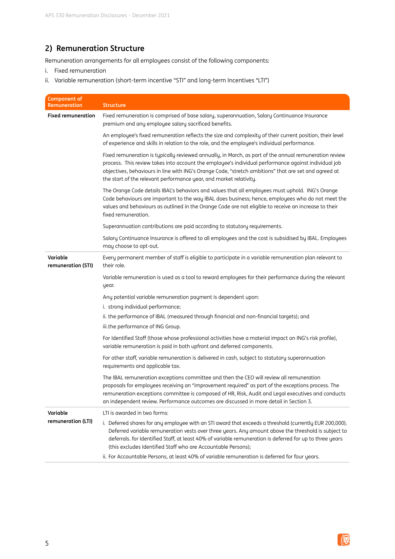# **2) Remuneration Structure**

Remuneration arrangements for all employees consist of the following components:

- i. Fixed remuneration
- ii. Variable remuneration (short-term incentive "STI" and long-term Incentives "LTI")

| <b>Component of</b><br><b>Remuneration</b> | <b>Structure</b>                                                                                                                                                                                                                                                                                                                                                                               |
|--------------------------------------------|------------------------------------------------------------------------------------------------------------------------------------------------------------------------------------------------------------------------------------------------------------------------------------------------------------------------------------------------------------------------------------------------|
| <b>Fixed remuneration</b>                  | Fixed remuneration is comprised of base salary, superannuation, Salary Continuance Insurance<br>premium and any employee salary sacrificed benefits.                                                                                                                                                                                                                                           |
|                                            | An employee's fixed remuneration reflects the size and complexity of their current position, their level<br>of experience and skills in relation to the role, and the employee's individual performance.                                                                                                                                                                                       |
|                                            | Fixed remuneration is typically reviewed annually, in March, as part of the annual remuneration review<br>process. This review takes into account the employee's individual performance against individual job<br>objectives, behaviours in line with ING's Orange Code, "stretch ambitions" that are set and agreed at<br>the start of the relevant performance year, and market relativity.  |
|                                            | The Orange Code details IBAL's behaviors and values that all employees must uphold. ING's Orange<br>Code behaviours are important to the way IBAL does business; hence, employees who do not meet the<br>values and behaviours as outlined in the Orange Code are not eligible to receive an increase to their<br>fixed remuneration.                                                          |
|                                            | Superannuation contributions are paid according to statutory requirements.                                                                                                                                                                                                                                                                                                                     |
|                                            | Salary Continuance Insurance is offered to all employees and the cost is subsidised by IBAL. Employees<br>may choose to opt-out.                                                                                                                                                                                                                                                               |
| Variable<br>remuneration (STI)             | Every permanent member of staff is eligible to participate in a variable remuneration plan relevant to<br>their role.                                                                                                                                                                                                                                                                          |
|                                            | Variable remuneration is used as a tool to reward employees for their performance during the relevant<br>year.                                                                                                                                                                                                                                                                                 |
|                                            | Any potential variable remuneration payment is dependent upon:                                                                                                                                                                                                                                                                                                                                 |
|                                            | i. strong individual performance;                                                                                                                                                                                                                                                                                                                                                              |
|                                            | ii. the performance of IBAL (measured through financial and non-financial targets); and<br>iii.the performance of ING Group.                                                                                                                                                                                                                                                                   |
|                                            | For Identified Staff (those whose professional activities have a material impact on ING's risk profile),<br>variable remuneration is paid in both upfront and deferred components.                                                                                                                                                                                                             |
|                                            | For other staff, variable remuneration is delivered in cash, subject to statutory superannuation<br>requirements and applicable tax.                                                                                                                                                                                                                                                           |
|                                            | The IBAL remuneration exceptions committee and then the CEO will review all remuneration<br>proposals for employees receiving an "improvement required" as part of the exceptions process. The<br>remuneration exceptions committee is composed of HR, Risk, Audit and Legal executives and conducts<br>an independent review. Performance outcomes are discussed in more detail in Section 3. |
| Variable                                   | LTI is awarded in two forms:                                                                                                                                                                                                                                                                                                                                                                   |
| remuneration (LTI)                         | i. Deferred shares for any employee with an STI award that exceeds a threshold (currently EUR 200,000).<br>Deferred variable remuneration vests over three years. Any amount above the threshold is subject to<br>deferrals. for Identified Staff, at least 40% of variable remuneration is deferred for up to three years<br>(this excludes Identified Staff who are Accountable Persons);    |
|                                            | ii. For Accountable Persons, at least 40% of variable remuneration is deferred for four years.                                                                                                                                                                                                                                                                                                 |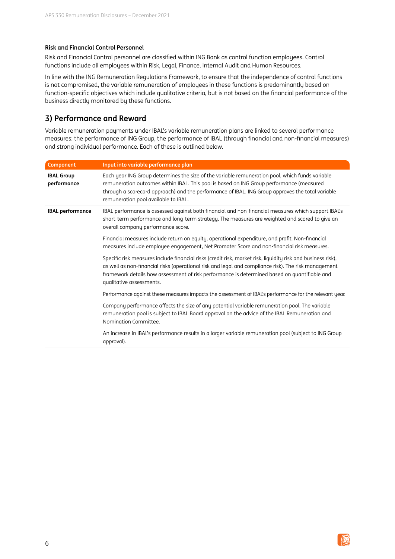#### **Risk and Financial Control Personnel**

Risk and Financial Control personnel are classified within ING Bank as control function employees. Control functions include all employees within Risk, Legal, Finance, Internal Audit and Human Resources.

In line with the ING Remuneration Regulations Framework, to ensure that the independence of control functions is not compromised, the variable remuneration of employees in these functions is predominantly based on function-specific objectives which include qualitative criteria, but is not based on the financial performance of the business directly monitored by these functions.

## **3) Performance and Reward**

Variable remuneration payments under IBAL's variable remuneration plans are linked to several performance measures: the performance of ING Group, the performance of IBAL (through financial and non-financial measures) and strong individual performance. Each of these is outlined below.

| Component                        | Input into variable performance plan                                                                                                                                                                                                                                                                                                             |
|----------------------------------|--------------------------------------------------------------------------------------------------------------------------------------------------------------------------------------------------------------------------------------------------------------------------------------------------------------------------------------------------|
| <b>IBAL Group</b><br>performance | Each year ING Group determines the size of the variable remuneration pool, which funds variable<br>remuneration outcomes within IBAL. This pool is based on ING Group performance (measured<br>through a scorecard approach) and the performance of IBAL. ING Group approves the total variable<br>remuneration pool available to IBAL.          |
| <b>IBAL performance</b>          | IBAL performance is assessed against both financial and non-financial measures which support IBAL's<br>short-term performance and long-term strategy. The measures are weighted and scored to give an<br>overall company performance score.                                                                                                      |
|                                  | Financial measures include return on equity, operational expenditure, and profit. Non-financial<br>measures include employee engagement, Net Promoter Score and non-financial risk measures.                                                                                                                                                     |
|                                  | Specific risk measures include financial risks (credit risk, market risk, liquidity risk and business risk),<br>as well as non-financial risks (operational risk and legal and compliance risk). The risk management<br>framework details how assessment of risk performance is determined based on quantifiable and<br>qualitative assessments. |
|                                  | Performance against these measures impacts the assessment of IBAL's performance for the relevant year.                                                                                                                                                                                                                                           |
|                                  | Company performance affects the size of any potential variable remuneration pool. The variable<br>remuneration pool is subject to IBAL Board approval on the advice of the IBAL Remuneration and<br>Nomination Committee.                                                                                                                        |
|                                  | An increase in IBAL's performance results in a larger variable remuneration pool (subject to ING Group<br>approval).                                                                                                                                                                                                                             |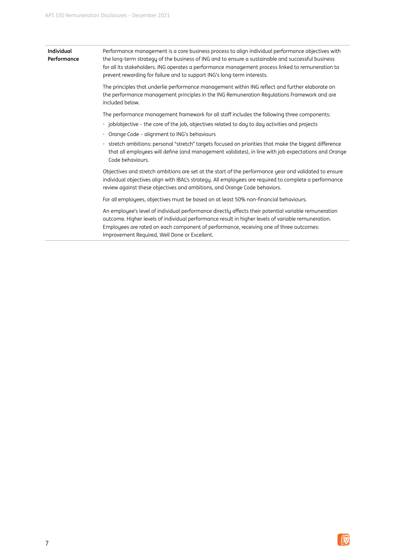| Individual<br>Performance | Performance management is a core business process to align individual performance objectives with<br>the long-term strategy of the business of ING and to ensure a sustainable and successful business<br>for all its stakeholders. ING operates a performance management process linked to remuneration to<br>prevent rewarding for failure and to support ING's long-term interests. |
|---------------------------|----------------------------------------------------------------------------------------------------------------------------------------------------------------------------------------------------------------------------------------------------------------------------------------------------------------------------------------------------------------------------------------|
|                           | The principles that underlie performance management within ING reflect and further elaborate on<br>the performance management principles in the ING Remuneration Regulations Framework and are<br>included below.                                                                                                                                                                      |
|                           | The performance management framework for all staff includes the following three components:                                                                                                                                                                                                                                                                                            |
|                           | · job/objective - the core of the job, objectives related to day to day activities and projects                                                                                                                                                                                                                                                                                        |
|                           | • Orange Code - alignment to ING's behaviours                                                                                                                                                                                                                                                                                                                                          |
|                           | · stretch ambitions: personal "stretch" targets focused on priorities that make the biggest difference<br>that all employees will define (and management validates), in line with job expectations and Orange<br>Code behaviours.                                                                                                                                                      |
|                           | Objectives and stretch ambitions are set at the start of the performance year and validated to ensure<br>individual objectives align with IBAL's strategy. All employees are required to complete a performance<br>review against these objectives and ambitions, and Orange Code behaviors.                                                                                           |
|                           | For all employees, objectives must be based on at least 50% non-financial behaviours.                                                                                                                                                                                                                                                                                                  |
|                           | An employee's level of individual performance directly affects their potential variable remuneration<br>outcome. Higher levels of individual performance result in higher levels of variable remuneration.<br>Employees are rated on each component of performance, receiving one of three outcomes:<br>Improvement Required, Well Done or Excellent.                                  |

簿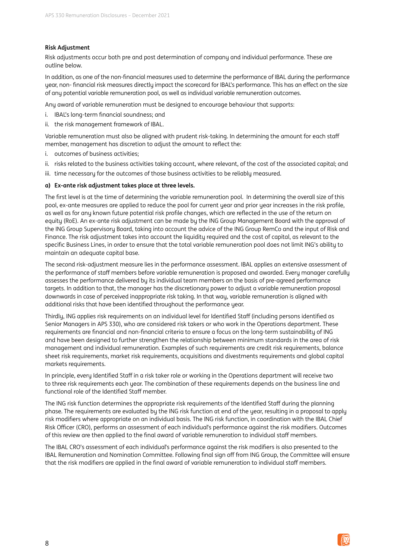#### **Risk Adjustment**

Risk adjustments occur both pre and post determination of company and individual performance. These are outline below.

In addition, as one of the non-financial measures used to determine the performance of IBAL during the performance year, non- financial risk measures directly impact the scorecard for IBAL's performance. This has an effect on the size of any potential variable remuneration pool, as well as individual variable remuneration outcomes.

Any award of variable remuneration must be designed to encourage behaviour that supports:

- i. IBAL's long-term financial soundness; and
- ii. the risk management framework of IBAL.

Variable remuneration must also be aligned with prudent risk-taking. In determining the amount for each staff member, management has discretion to adjust the amount to reflect the:

- i. outcomes of business activities;
- ii. risks related to the business activities taking account, where relevant, of the cost of the associated capital; and
- iii. time necessary for the outcomes of those business activities to be reliably measured.

#### **a) Ex-ante risk adjustment takes place at three levels.**

The first level is at the time of determining the variable remuneration pool. In determining the overall size of this pool, ex-ante measures are applied to reduce the pool for current year and prior year increases in the risk profile, as well as for any known future potential risk profile changes, which are reflected in the use of the return on equity (RoE). An ex-ante risk adjustment can be made by the ING Group Management Board with the approval of the ING Group Supervisory Board, taking into account the advice of the ING Group RemCo and the input of Risk and Finance. The risk adjustment takes into account the liquiditu required and the cost of capital, as relevant to the specific Business Lines, in order to ensure that the total variable remuneration pool does not limit ING's ability to maintain an adequate capital base.

The second risk-adjustment measure lies in the performance assessment. IBAL applies an extensive assessment of the performance of staff members before variable remuneration is proposed and awarded. Every manager carefully assesses the performance delivered by its individual team members on the basis of pre-agreed performance targets. In addition to that, the manager has the discretionary power to adjust a variable remuneration proposal downwards in case of perceived inappropriate risk taking. In that way, variable remuneration is aligned with additional risks that have been identified throughout the performance year.

Thirdly, ING applies risk requirements on an individual level for Identified Staff (including persons identified as Senior Managers in APS 330), who are considered risk takers or who work in the Operations department. These requirements are financial and non-financial criteria to ensure a focus on the long-term sustainability of ING and have been designed to further strengthen the relationship between minimum standards in the area of risk management and individual remuneration. Examples of such requirements are credit risk requirements, balance sheet risk requirements, market risk requirements, acquisitions and divestments requirements and global capital markets requirements.

In principle, every Identified Staff in a risk taker role or working in the Operations department will receive two to three risk requirements each year. The combination of these requirements depends on the business line and functional role of the Identified Staff member.

The ING risk function determines the appropriate risk requirements of the Identified Staff during the planning phase. The requirements are evaluated by the ING risk function at end of the year, resulting in a proposal to apply risk modifiers where appropriate on an individual basis. The ING risk function, in coordination with the IBAL Chief Risk Officer (CRO), performs an assessment of each individual's performance against the risk modifiers. Outcomes of this review are then applied to the final award of variable remuneration to individual staff members.

The IBAL CRO's assessment of each individual's performance against the risk modifiers is also presented to the IBAL Remuneration and Nomination Committee. Following final sign off from ING Group, the Committee will ensure that the risk modifiers are applied in the final award of variable remuneration to individual staff members.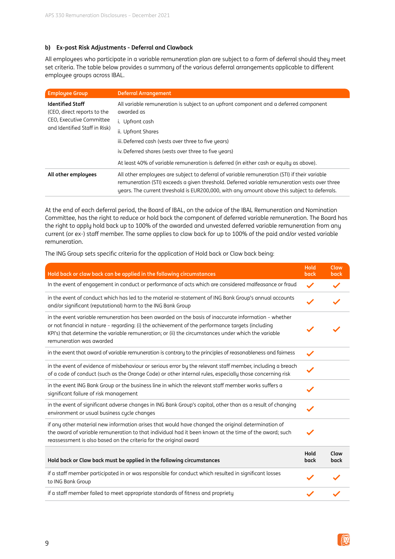#### **b) Ex-post Risk Adjustments - Deferral and Clawback**

All employees who participate in a variable remuneration plan are subject to a form of deferral should they meet set criteria. The table below provides a summary of the various deferral arrangements applicable to different employee groups across IBAL.

| <b>Employee Group</b>                                                                                                                                                                                                                                                                                                | <b>Deferral Arrangement</b>                                                                         |
|----------------------------------------------------------------------------------------------------------------------------------------------------------------------------------------------------------------------------------------------------------------------------------------------------------------------|-----------------------------------------------------------------------------------------------------|
| <b>Identified Staff</b><br>(CEO, direct reports to the                                                                                                                                                                                                                                                               | All variable remuneration is subject to an upfront component and a deferred component<br>awarded as |
| CEO, Executive Committee                                                                                                                                                                                                                                                                                             | i. Upfront cash                                                                                     |
| and Identified Staff in Risk)                                                                                                                                                                                                                                                                                        | ii. Upfront Shares                                                                                  |
|                                                                                                                                                                                                                                                                                                                      | iii. Deferred cash (vests over three to five years)                                                 |
|                                                                                                                                                                                                                                                                                                                      | iv. Deferred shares (vests over three to five years)                                                |
|                                                                                                                                                                                                                                                                                                                      | At least 40% of variable remuneration is deferred (in either cash or equity as above).              |
| All other employees are subject to deferral of variable remuneration (STI) if their variable<br>All other employees<br>remuneration (STI) exceeds a given threshold. Deferred variable remuneration vests over three<br>years. The current threshold is EUR200,000, with any amount above this subject to deferrals. |                                                                                                     |

At the end of each deferral period, the Board of IBAL, on the advice of the IBAL Remuneration and Nomination Committee, has the right to reduce or hold back the component of deferred variable remuneration. The Board has the right to apply hold back up to 100% of the awarded and unvested deferred variable remuneration from any current (or ex-) staff member. The same applies to claw back for up to 100% of the paid and/or vested variable remuneration.

The ING Group sets specific criteria for the application of Hold back or Claw back being:

| Hold back or claw back can be applied in the following circumstances                                                                                                                                                                                                                                                                         | Hold<br>back | Claw<br>back |
|----------------------------------------------------------------------------------------------------------------------------------------------------------------------------------------------------------------------------------------------------------------------------------------------------------------------------------------------|--------------|--------------|
| In the event of engagement in conduct or performance of acts which are considered malfeasance or fraud                                                                                                                                                                                                                                       | $\checkmark$ |              |
| in the event of conduct which has led to the material re-statement of ING Bank Group's annual accounts<br>and/or significant (reputational) harm to the ING Bank Group                                                                                                                                                                       |              |              |
| in the event variable remuneration has been awarded on the basis of inaccurate information - whether<br>or not financial in nature - regarding: (i) the achievement of the performance targets (including<br>KPI's) that determine the variable remuneration; or (ii) the circumstances under which the variable<br>remuneration was awarded |              |              |
| in the event that award of variable remuneration is contrary to the principles of reasonableness and fairness                                                                                                                                                                                                                                |              |              |
| in the event of evidence of misbehaviour or serious error by the relevant staff member, including a breach<br>of a code of conduct (such as the Orange Code) or other internal rules, especially those concerning risk                                                                                                                       |              |              |
| in the event ING Bank Group or the business line in which the relevant staff member works suffers a<br>significant failure of risk management                                                                                                                                                                                                |              |              |
| in the event of significant adverse changes in ING Bank Group's capital, other than as a result of changing<br>environment or usual business cycle changes                                                                                                                                                                                   |              |              |
| if any other material new information arises that would have changed the original determination of<br>the award of variable remuneration to that individual had it been known at the time of the award: such<br>reassessment is also based on the criteria for the original award                                                            |              |              |
| Hold back or Claw back must be applied in the following circumstances                                                                                                                                                                                                                                                                        | Hold<br>back | Claw<br>back |
| if a staff member participated in or was responsible for conduct which resulted in significant losses<br>to ING Bank Group                                                                                                                                                                                                                   |              |              |
| if a staff member failed to meet appropriate standards of fitness and propriety                                                                                                                                                                                                                                                              |              |              |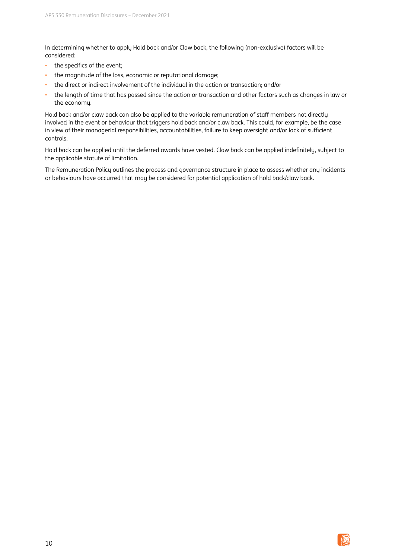In determining whether to apply Hold back and/or Claw back, the following (non-exclusive) factors will be considered:

- the specifics of the event;
- the magnitude of the loss, economic or reputational damage;
- the direct or indirect involvement of the individual in the action or transaction; and/or
- the length of time that has passed since the action or transaction and other factors such as changes in law or the economy.

Hold back and/or claw back can also be applied to the variable remuneration of staff members not directly involved in the event or behaviour that triggers hold back and/or claw back. This could, for example, be the case in view of their managerial responsibilities, accountabilities, failure to keep oversight and/or lack of sufficient controls.

Hold back can be applied until the deferred awards have vested. Claw back can be applied indefinitely, subject to the applicable statute of limitation.

The Remuneration Policy outlines the process and governance structure in place to assess whether any incidents or behaviours have occurred that may be considered for potential application of hold back/claw back.